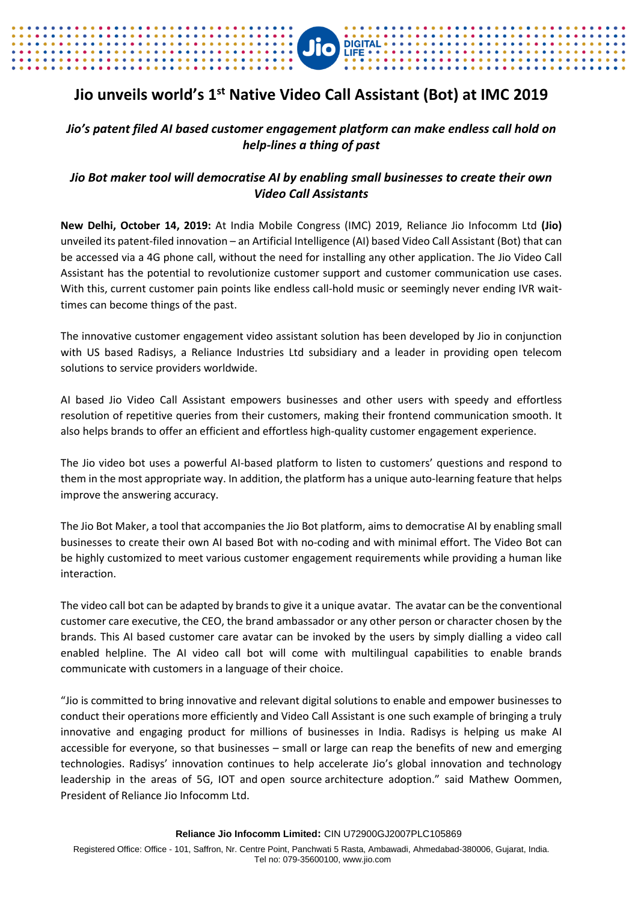## **Jio unveils world's 1st Native Video Call Assistant (Bot) at IMC 2019**

Jio

**DIGITAL** 

## *Jio's patent filed AI based customer engagement platform can make endless call hold on help-lines a thing of past*

## *Jio Bot maker tool will democratise AI by enabling small businesses to create their own Video Call Assistants*

**New Delhi, October 14, 2019:** At India Mobile Congress (IMC) 2019, Reliance Jio Infocomm Ltd **(Jio)**  unveiled its patent-filed innovation – an Artificial Intelligence (AI) based Video Call Assistant (Bot) that can be accessed via a 4G phone call, without the need for installing any other application. The Jio Video Call Assistant has the potential to revolutionize customer support and customer communication use cases. With this, current customer pain points like endless call-hold music or seemingly never ending IVR waittimes can become things of the past.

The innovative customer engagement video assistant solution has been developed by Jio in conjunction with US based Radisys, a Reliance Industries Ltd subsidiary and a leader in providing open telecom solutions to service providers worldwide.

AI based Jio Video Call Assistant empowers businesses and other users with speedy and effortless resolution of repetitive queries from their customers, making their frontend communication smooth. It also helps brands to offer an efficient and effortless high-quality customer engagement experience.

The Jio video bot uses a powerful AI-based platform to listen to customers' questions and respond to them in the most appropriate way. In addition, the platform has a unique auto-learning feature that helps improve the answering accuracy.

The Jio Bot Maker, a tool that accompanies the Jio Bot platform, aims to democratise AI by enabling small businesses to create their own AI based Bot with no-coding and with minimal effort. The Video Bot can be highly customized to meet various customer engagement requirements while providing a human like interaction.

The video call bot can be adapted by brands to give it a unique avatar. The avatar can be the conventional customer care executive, the CEO, the brand ambassador or any other person or character chosen by the brands. This AI based customer care avatar can be invoked by the users by simply dialling a video call enabled helpline. The AI video call bot will come with multilingual capabilities to enable brands communicate with customers in a language of their choice.

"Jio is committed to bring innovative and relevant digital solutions to enable and empower businesses to conduct their operations more efficiently and Video Call Assistant is one such example of bringing a truly innovative and engaging product for millions of businesses in India. Radisys is helping us make AI accessible for everyone, so that businesses – small or large can reap the benefits of new and emerging technologies. Radisys' innovation continues to help accelerate Jio's global innovation and technology leadership in the areas of 5G, IOT and open source architecture adoption." said Mathew Oommen, President of Reliance Jio Infocomm Ltd.